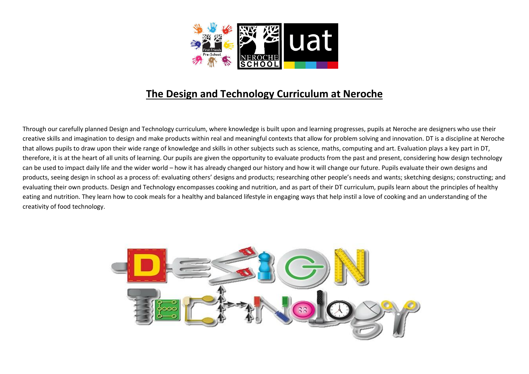

## The Design and Technology Curriculum at Neroche

Through our carefully planned Design and Technology curriculum, where knowledge is built upon and learning progresses, pupils at Neroche are designers who use their creative skills and imagination to design and make products within real and meaningful contexts that allow for problem solving and innovation. DT is a discipline at Neroche that allows pupils to draw upon their wide range of knowledge and skills in other subjects such as science, maths, computing and art. Evaluation plays a key part in DT, therefore, it is at the heart of all units of learning. Our pupils are given the opportunity to evaluate products from the past and present, considering how design technology can be used to impact daily life and the wider world – how it has already changed our history and how it will change our future. Pupils evaluate their own designs and products, seeing design in school as a process of: evaluating others' designs and products; researching other people's needs and wants; sketching designs; constructing; and evaluating their own products. Design and Technology encompasses cooking and nutrition, and as part of their DT curriculum, pupils learn about the principles of healthy eating and nutrition. They learn how to cook meals for a healthy and balanced lifestyle in engaging ways that help instil a love of cooking and an understanding of the creativity of food technology.

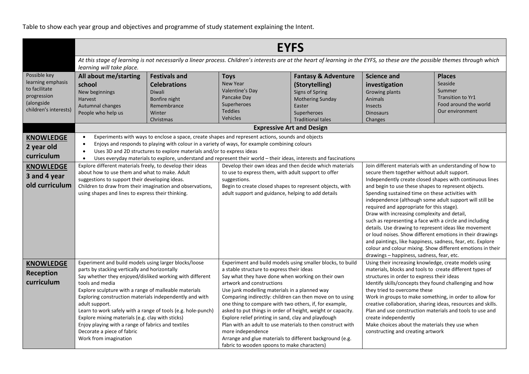Table to show each year group and objectives and programme of study statement explaining the Intent.

|                                                                                                          | <b>EYFS</b><br>At this stage of learning is not necessarily a linear process. Children's interests are at the heart of learning in the EYFS, so these are the possible themes through which<br>learning will take place.                                                                                                                                                                                                                                                                                                                                     |                                                                                                                                                                                                                                                                                                                                                                                                     |                                                                                                                                                                                                                                                                                                                                                                                                                                                                                                                                                                                                                                                                                      |                                                                                                                                                     |                                                                                                                                                                                                                                                                                                                                                                                                                                                                                                                                                                                                                                                                                                                                                                                                 |                                                                                                            |  |  |
|----------------------------------------------------------------------------------------------------------|--------------------------------------------------------------------------------------------------------------------------------------------------------------------------------------------------------------------------------------------------------------------------------------------------------------------------------------------------------------------------------------------------------------------------------------------------------------------------------------------------------------------------------------------------------------|-----------------------------------------------------------------------------------------------------------------------------------------------------------------------------------------------------------------------------------------------------------------------------------------------------------------------------------------------------------------------------------------------------|--------------------------------------------------------------------------------------------------------------------------------------------------------------------------------------------------------------------------------------------------------------------------------------------------------------------------------------------------------------------------------------------------------------------------------------------------------------------------------------------------------------------------------------------------------------------------------------------------------------------------------------------------------------------------------------|-----------------------------------------------------------------------------------------------------------------------------------------------------|-------------------------------------------------------------------------------------------------------------------------------------------------------------------------------------------------------------------------------------------------------------------------------------------------------------------------------------------------------------------------------------------------------------------------------------------------------------------------------------------------------------------------------------------------------------------------------------------------------------------------------------------------------------------------------------------------------------------------------------------------------------------------------------------------|------------------------------------------------------------------------------------------------------------|--|--|
|                                                                                                          |                                                                                                                                                                                                                                                                                                                                                                                                                                                                                                                                                              |                                                                                                                                                                                                                                                                                                                                                                                                     |                                                                                                                                                                                                                                                                                                                                                                                                                                                                                                                                                                                                                                                                                      |                                                                                                                                                     |                                                                                                                                                                                                                                                                                                                                                                                                                                                                                                                                                                                                                                                                                                                                                                                                 |                                                                                                            |  |  |
| Possible key<br>learning emphasis<br>to facilitate<br>progression<br>(alongside<br>children's interests) | All about me/starting<br>school<br>New beginnings<br>Harvest<br>Autumnal changes<br>People who help us                                                                                                                                                                                                                                                                                                                                                                                                                                                       | <b>Festivals and</b><br><b>Celebrations</b><br><b>Diwali</b><br>Bonfire night<br>Remembrance<br>Winter<br>Christmas                                                                                                                                                                                                                                                                                 | <b>Toys</b><br><b>New Year</b><br>Valentine's Day<br>Pancake Day<br>Superheroes<br><b>Teddies</b><br><b>Vehicles</b>                                                                                                                                                                                                                                                                                                                                                                                                                                                                                                                                                                 | <b>Fantasy &amp; Adventure</b><br>(Storytelling)<br>Signs of Spring<br><b>Mothering Sunday</b><br>Easter<br>Superheroes<br><b>Traditional tales</b> | <b>Science and</b><br>investigation<br>Growing plants<br><b>Animals</b><br>Insects<br><b>Dinosaurs</b><br>Changes                                                                                                                                                                                                                                                                                                                                                                                                                                                                                                                                                                                                                                                                               | <b>Places</b><br>Seaside<br>Summer<br><b>Transition to Yr1</b><br>Food around the world<br>Our environment |  |  |
|                                                                                                          |                                                                                                                                                                                                                                                                                                                                                                                                                                                                                                                                                              |                                                                                                                                                                                                                                                                                                                                                                                                     |                                                                                                                                                                                                                                                                                                                                                                                                                                                                                                                                                                                                                                                                                      | <b>Expressive Art and Design</b>                                                                                                                    |                                                                                                                                                                                                                                                                                                                                                                                                                                                                                                                                                                                                                                                                                                                                                                                                 |                                                                                                            |  |  |
| <b>KNOWLEDGE</b><br>2 year old<br>curriculum                                                             | $\bullet$<br>$\bullet$<br>$\bullet$<br>$\bullet$                                                                                                                                                                                                                                                                                                                                                                                                                                                                                                             | Experiments with ways to enclose a space, create shapes and represent actions, sounds and objects<br>Enjoys and responds to playing with colour in a variety of ways, for example combining colours<br>Uses 3D and 2D structures to explore materials and/or to express ideas<br>Uses everyday materials to explore, understand and represent their world - their ideas, interests and fascinations |                                                                                                                                                                                                                                                                                                                                                                                                                                                                                                                                                                                                                                                                                      |                                                                                                                                                     |                                                                                                                                                                                                                                                                                                                                                                                                                                                                                                                                                                                                                                                                                                                                                                                                 |                                                                                                            |  |  |
| <b>KNOWLEDGE</b><br>3 and 4 year<br>old curriculum                                                       | Explore different materials freely, to develop their ideas<br>about how to use them and what to make. Adult<br>suggestions to support their developing ideas.<br>Children to draw from their imagination and observations,<br>using shapes and lines to express their thinking.                                                                                                                                                                                                                                                                              |                                                                                                                                                                                                                                                                                                                                                                                                     | Develop their own ideas and then decide which materials<br>to use to express them, with adult support to offer<br>suggestions.<br>Begin to create closed shapes to represent objects, with<br>adult support and guidance, helping to add details                                                                                                                                                                                                                                                                                                                                                                                                                                     |                                                                                                                                                     | Join different materials with an understanding of how to<br>secure them together without adult support.<br>Independently create closed shapes with continuous lines<br>and begin to use these shapes to represent objects.<br>Spending sustained time on these activities with<br>independence (although some adult support will still be<br>required and appropriate for this stage).<br>Draw with increasing complexity and detail,<br>such as representing a face with a circle and including<br>details. Use drawing to represent ideas like movement<br>or loud noises. Show different emotions in their drawings<br>and paintings, like happiness, sadness, fear, etc. Explore<br>colour and colour mixing. Show different emotions in their<br>drawings - happiness, sadness, fear, etc. |                                                                                                            |  |  |
| <b>KNOWLEDGE</b><br><b>Reception</b><br>curriculum                                                       | Experiment and build models using larger blocks/loose<br>parts by stacking vertically and horizontally<br>Say whether they enjoyed/disliked working with different<br>tools and media<br>Explore sculpture with a range of malleable materials<br>Exploring construction materials independently and with<br>adult support.<br>Learn to work safely with a range of tools (e.g. hole-punch)<br>Explore mixing materials (e.g. clay with sticks)<br>Enjoy playing with a range of fabrics and textiles<br>Decorate a piece of fabric<br>Work from imagination |                                                                                                                                                                                                                                                                                                                                                                                                     | Experiment and build models using smaller blocks, to build<br>a stable structure to express their ideas<br>Say what they have done when working on their own<br>artwork and constructions<br>Use junk modelling materials in a planned way<br>Comparing indirectly: children can then move on to using<br>one thing to compare with two others, if, for example,<br>asked to put things in order of height, weight or capacity.<br>Explore relief printing in sand, clay and playdough<br>Plan with an adult to use materials to then construct with<br>more independence<br>Arrange and glue materials to different background (e.g.<br>fabric to wooden spoons to make characters) |                                                                                                                                                     | Using their increasing knowledge, create models using<br>materials, blocks and tools to create different types of<br>structures in order to express their ideas<br>Identify skills/concepts they found challenging and how<br>they tried to overcome these<br>Work in groups to make something, in order to allow for<br>creative collaboration, sharing ideas, resources and skills.<br>Plan and use construction materials and tools to use and<br>create independently<br>Make choices about the materials they use when<br>constructing and creating artwork                                                                                                                                                                                                                                |                                                                                                            |  |  |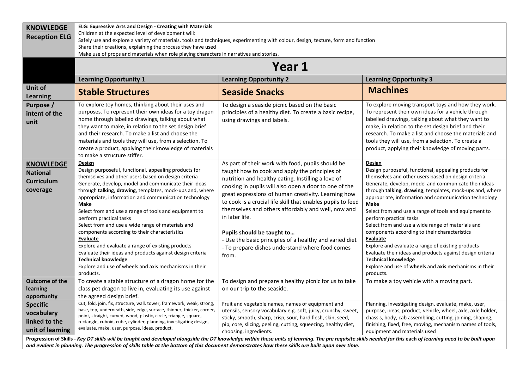| <b>KNOWLEDGE</b>                                                     | <b>ELG: Expressive Arts and Design - Creating with Materials</b>                                                                                                                                                                                                                                                                                                                                                                                                                                                                                                                                                                                                                                                                         |                                                                                                                                                                                                                                                                                                                                                                                                                                                                                                                                                                       |                                                                                                                                                                                                                                                                                                                                                                                                                                                                                                                                                                                                                                                                                                                                          |  |  |  |  |  |  |
|----------------------------------------------------------------------|------------------------------------------------------------------------------------------------------------------------------------------------------------------------------------------------------------------------------------------------------------------------------------------------------------------------------------------------------------------------------------------------------------------------------------------------------------------------------------------------------------------------------------------------------------------------------------------------------------------------------------------------------------------------------------------------------------------------------------------|-----------------------------------------------------------------------------------------------------------------------------------------------------------------------------------------------------------------------------------------------------------------------------------------------------------------------------------------------------------------------------------------------------------------------------------------------------------------------------------------------------------------------------------------------------------------------|------------------------------------------------------------------------------------------------------------------------------------------------------------------------------------------------------------------------------------------------------------------------------------------------------------------------------------------------------------------------------------------------------------------------------------------------------------------------------------------------------------------------------------------------------------------------------------------------------------------------------------------------------------------------------------------------------------------------------------------|--|--|--|--|--|--|
| <b>Reception ELG</b>                                                 | Children at the expected level of development will:                                                                                                                                                                                                                                                                                                                                                                                                                                                                                                                                                                                                                                                                                      |                                                                                                                                                                                                                                                                                                                                                                                                                                                                                                                                                                       |                                                                                                                                                                                                                                                                                                                                                                                                                                                                                                                                                                                                                                                                                                                                          |  |  |  |  |  |  |
|                                                                      | Safely use and explore a variety of materials, tools and techniques, experimenting with colour, design, texture, form and function                                                                                                                                                                                                                                                                                                                                                                                                                                                                                                                                                                                                       |                                                                                                                                                                                                                                                                                                                                                                                                                                                                                                                                                                       |                                                                                                                                                                                                                                                                                                                                                                                                                                                                                                                                                                                                                                                                                                                                          |  |  |  |  |  |  |
|                                                                      | Share their creations, explaining the process they have used                                                                                                                                                                                                                                                                                                                                                                                                                                                                                                                                                                                                                                                                             |                                                                                                                                                                                                                                                                                                                                                                                                                                                                                                                                                                       |                                                                                                                                                                                                                                                                                                                                                                                                                                                                                                                                                                                                                                                                                                                                          |  |  |  |  |  |  |
|                                                                      | Make use of props and materials when role playing characters in narratives and stories.                                                                                                                                                                                                                                                                                                                                                                                                                                                                                                                                                                                                                                                  |                                                                                                                                                                                                                                                                                                                                                                                                                                                                                                                                                                       |                                                                                                                                                                                                                                                                                                                                                                                                                                                                                                                                                                                                                                                                                                                                          |  |  |  |  |  |  |
|                                                                      |                                                                                                                                                                                                                                                                                                                                                                                                                                                                                                                                                                                                                                                                                                                                          | Year 1                                                                                                                                                                                                                                                                                                                                                                                                                                                                                                                                                                |                                                                                                                                                                                                                                                                                                                                                                                                                                                                                                                                                                                                                                                                                                                                          |  |  |  |  |  |  |
|                                                                      | <b>Learning Opportunity 1</b><br><b>Learning Opportunity 3</b><br><b>Learning Opportunity 2</b>                                                                                                                                                                                                                                                                                                                                                                                                                                                                                                                                                                                                                                          |                                                                                                                                                                                                                                                                                                                                                                                                                                                                                                                                                                       |                                                                                                                                                                                                                                                                                                                                                                                                                                                                                                                                                                                                                                                                                                                                          |  |  |  |  |  |  |
| Unit of<br><b>Learning</b>                                           | <b>Stable Structures</b>                                                                                                                                                                                                                                                                                                                                                                                                                                                                                                                                                                                                                                                                                                                 | <b>Seaside Snacks</b>                                                                                                                                                                                                                                                                                                                                                                                                                                                                                                                                                 | <b>Machines</b>                                                                                                                                                                                                                                                                                                                                                                                                                                                                                                                                                                                                                                                                                                                          |  |  |  |  |  |  |
| Purpose /<br>intent of the<br>unit                                   | To explore toy homes, thinking about their uses and<br>purposes. To represent their own ideas for a toy dragon<br>home through labelled drawings, talking about what<br>they want to make, in relation to the set design brief<br>and their research. To make a list and choose the<br>materials and tools they will use, from a selection. To<br>create a product, applying their knowledge of materials<br>to make a structure stiffer.                                                                                                                                                                                                                                                                                                | To design a seaside picnic based on the basic<br>principles of a healthy diet. To create a basic recipe,<br>using drawings and labels.                                                                                                                                                                                                                                                                                                                                                                                                                                | To explore moving transport toys and how they work.<br>To represent their own ideas for a vehicle through<br>labelled drawings, talking about what they want to<br>make, in relation to the set design brief and their<br>research. To make a list and choose the materials and<br>tools they will use, from a selection. To create a<br>product, applying their knowledge of moving parts.                                                                                                                                                                                                                                                                                                                                              |  |  |  |  |  |  |
| <b>KNOWLEDGE</b><br><b>National</b><br><b>Curriculum</b><br>coverage | Design<br>Design purposeful, functional, appealing products for<br>themselves and other users based on design criteria<br>Generate, develop, model and communicate their ideas<br>through talking, drawing, templates, mock-ups and, where<br>appropriate, information and communication technology<br>Make<br>Select from and use a range of tools and equipment to<br>perform practical tasks<br>Select from and use a wide range of materials and<br>components according to their characteristics<br>Evaluate<br>Explore and evaluate a range of existing products<br>Evaluate their ideas and products against design criteria<br><b>Technical knowledge</b><br>Explore and use of wheels and axis mechanisms in their<br>products. | As part of their work with food, pupils should be<br>taught how to cook and apply the principles of<br>nutrition and healthy eating. Instilling a love of<br>cooking in pupils will also open a door to one of the<br>great expressions of human creativity. Learning how<br>to cook is a crucial life skill that enables pupils to feed<br>themselves and others affordably and well, now and<br>in later life.<br>Pupils should be taught to<br>- Use the basic principles of a healthy and varied diet<br>- To prepare dishes understand where food comes<br>from. | Design<br>Design purposeful, functional, appealing products for<br>themselves and other users based on design criteria<br>Generate, develop, model and communicate their ideas<br>through talking, drawing, templates, mock-ups and, where<br>appropriate, information and communication technology<br>Make<br>Select from and use a range of tools and equipment to<br>perform practical tasks<br>Select from and use a wide range of materials and<br>components according to their characteristics<br>Evaluate<br>Explore and evaluate a range of existing products<br>Evaluate their ideas and products against design criteria<br><b>Technical knowledge</b><br>Explore and use of wheels and axis mechanisms in their<br>products. |  |  |  |  |  |  |
| <b>Outcome of the</b><br>learning<br>opportunity                     | To create a stable structure of a dragon home for the<br>class pet dragon to live in, evaluating its use against<br>the agreed design brief.                                                                                                                                                                                                                                                                                                                                                                                                                                                                                                                                                                                             | To design and prepare a healthy picnic for us to take<br>on our trip to the seaside.                                                                                                                                                                                                                                                                                                                                                                                                                                                                                  | To make a toy vehicle with a moving part.                                                                                                                                                                                                                                                                                                                                                                                                                                                                                                                                                                                                                                                                                                |  |  |  |  |  |  |
| <b>Specific</b><br>vocabulary<br>linked to the<br>unit of learning   | Cut, fold, join, fix, structure, wall, tower, framework, weak, strong,<br>base, top, underneath, side, edge, surface, thinner, thicker, corner,<br>point, straight, curved, wood, plastic, circle, triangle, square,<br>rectangle, cuboid, cube, cylinder, planning, investigating design,<br>evaluate, make, user, purpose, ideas, product.<br>Progression of Skills - Key DT skills will be taught and developed alongside the DT knowledge within these units of learning. The pre requisite skills needed for this each of learning need to be built upon                                                                                                                                                                            | Fruit and vegetable names, names of equipment and<br>utensils, sensory vocabulary e.g. soft, juicy, crunchy, sweet,<br>sticky, smooth, sharp, crisp, sour, hard flesh, skin, seed,<br>pip, core, slicing, peeling, cutting, squeezing, healthy diet,<br>choosing, ingredients.                                                                                                                                                                                                                                                                                        | Planning, investigating design, evaluate, make, user,<br>purpose, ideas, product, vehicle, wheel, axle, axle holder,<br>chassis, body, cab assembling, cutting, joining, shaping,<br>finishing, fixed, free, moving, mechanism names of tools,<br>equipment and materials used                                                                                                                                                                                                                                                                                                                                                                                                                                                           |  |  |  |  |  |  |
|                                                                      | and evident in planning. The progression of skills table at the bottom of this document demonstrates how these skills are built upon over time.                                                                                                                                                                                                                                                                                                                                                                                                                                                                                                                                                                                          |                                                                                                                                                                                                                                                                                                                                                                                                                                                                                                                                                                       |                                                                                                                                                                                                                                                                                                                                                                                                                                                                                                                                                                                                                                                                                                                                          |  |  |  |  |  |  |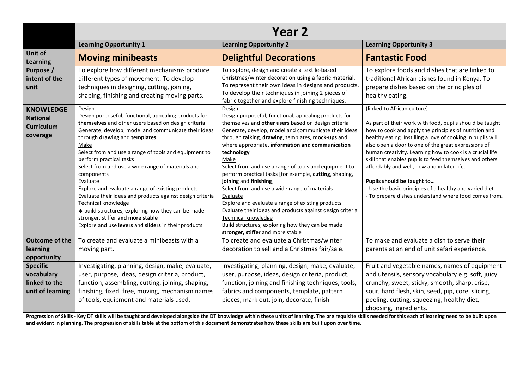|                                                                      | Year 2                                                                                                                                                                                                                                                                                                                                                                                                                                                                                                                                                                                                                                                                                        |                                                                                                                                                                                                                                                                                                                                                                                                                                                                                                                                                                                                                                                                                                                                                             |                                                                                                                                                                                                                                                                                                                                                                                                                                                                                                                                                                                                |  |  |  |  |  |
|----------------------------------------------------------------------|-----------------------------------------------------------------------------------------------------------------------------------------------------------------------------------------------------------------------------------------------------------------------------------------------------------------------------------------------------------------------------------------------------------------------------------------------------------------------------------------------------------------------------------------------------------------------------------------------------------------------------------------------------------------------------------------------|-------------------------------------------------------------------------------------------------------------------------------------------------------------------------------------------------------------------------------------------------------------------------------------------------------------------------------------------------------------------------------------------------------------------------------------------------------------------------------------------------------------------------------------------------------------------------------------------------------------------------------------------------------------------------------------------------------------------------------------------------------------|------------------------------------------------------------------------------------------------------------------------------------------------------------------------------------------------------------------------------------------------------------------------------------------------------------------------------------------------------------------------------------------------------------------------------------------------------------------------------------------------------------------------------------------------------------------------------------------------|--|--|--|--|--|
|                                                                      | <b>Learning Opportunity 1</b>                                                                                                                                                                                                                                                                                                                                                                                                                                                                                                                                                                                                                                                                 | <b>Learning Opportunity 2</b>                                                                                                                                                                                                                                                                                                                                                                                                                                                                                                                                                                                                                                                                                                                               | <b>Learning Opportunity 3</b>                                                                                                                                                                                                                                                                                                                                                                                                                                                                                                                                                                  |  |  |  |  |  |
| Unit of<br><b>Learning</b>                                           | <b>Moving minibeasts</b>                                                                                                                                                                                                                                                                                                                                                                                                                                                                                                                                                                                                                                                                      | <b>Delightful Decorations</b>                                                                                                                                                                                                                                                                                                                                                                                                                                                                                                                                                                                                                                                                                                                               | <b>Fantastic Food</b>                                                                                                                                                                                                                                                                                                                                                                                                                                                                                                                                                                          |  |  |  |  |  |
| Purpose /<br>intent of the<br>unit                                   | To explore how different mechanisms produce<br>different types of movement. To develop<br>techniques in designing, cutting, joining,<br>shaping, finishing and creating moving parts.                                                                                                                                                                                                                                                                                                                                                                                                                                                                                                         | To explore, design and create a textile-based<br>Christmas/winter decoration using a fabric material.<br>To represent their own ideas in designs and products.<br>To develop their techniques in joining 2 pieces of<br>fabric together and explore finishing techniques.                                                                                                                                                                                                                                                                                                                                                                                                                                                                                   | To explore foods and dishes that are linked to<br>traditional African dishes found in Kenya. To<br>prepare dishes based on the principles of<br>healthy eating.                                                                                                                                                                                                                                                                                                                                                                                                                                |  |  |  |  |  |
| <b>KNOWLEDGE</b><br><b>National</b><br><b>Curriculum</b><br>coverage | Design<br>Design purposeful, functional, appealing products for<br>themselves and other users based on design criteria<br>Generate, develop, model and communicate their ideas<br>through drawing and templates<br>Make<br>Select from and use a range of tools and equipment to<br>perform practical tasks<br>Select from and use a wide range of materials and<br>components<br>Evaluate<br>Explore and evaluate a range of existing products<br>Evaluate their ideas and products against design criteria<br><b>Technical knowledge</b><br>* build structures, exploring how they can be made<br>stronger, stiffer and more stable<br>Explore and use levers and sliders in their products | Design<br>Design purposeful, functional, appealing products for<br>themselves and other users based on design criteria<br>Generate, develop, model and communicate their ideas<br>through talking, drawing, templates, mock-ups and,<br>where appropriate, information and communication<br>technology<br>Make<br>Select from and use a range of tools and equipment to<br>perform practical tasks [for example, cutting, shaping,<br>joining and finishing]<br>Select from and use a wide range of materials<br>Evaluate<br>Explore and evaluate a range of existing products<br>Evaluate their ideas and products against design criteria<br>Technical knowledge<br>Build structures, exploring how they can be made<br>stronger, stiffer and more stable | (linked to African culture)<br>As part of their work with food, pupils should be taught<br>how to cook and apply the principles of nutrition and<br>healthy eating. Instilling a love of cooking in pupils will<br>also open a door to one of the great expressions of<br>human creativity. Learning how to cook is a crucial life<br>skill that enables pupils to feed themselves and others<br>affordably and well, now and in later life.<br>Pupils should be taught to<br>- Use the basic principles of a healthy and varied diet<br>- To prepare dishes understand where food comes from. |  |  |  |  |  |
| <b>Outcome of the</b><br>learning<br>opportunity                     | To create and evaluate a minibeasts with a<br>moving part.                                                                                                                                                                                                                                                                                                                                                                                                                                                                                                                                                                                                                                    | To create and evaluate a Christmas/winter<br>decoration to sell and a Christmas fair/sale.                                                                                                                                                                                                                                                                                                                                                                                                                                                                                                                                                                                                                                                                  | To make and evaluate a dish to serve their<br>parents at an end of unit safari experience.                                                                                                                                                                                                                                                                                                                                                                                                                                                                                                     |  |  |  |  |  |
| <b>Specific</b><br>vocabulary<br>linked to the<br>unit of learning   | Investigating, planning, design, make, evaluate,<br>user, purpose, ideas, design criteria, product,<br>function, assembling, cutting, joining, shaping,<br>finishing, fixed, free, moving, mechanism names<br>of tools, equipment and materials used,                                                                                                                                                                                                                                                                                                                                                                                                                                         | Investigating, planning, design, make, evaluate,<br>user, purpose, ideas, design criteria, product,<br>function, joining and finishing techniques, tools,<br>fabrics and components, template, pattern<br>pieces, mark out, join, decorate, finish                                                                                                                                                                                                                                                                                                                                                                                                                                                                                                          | Fruit and vegetable names, names of equipment<br>and utensils, sensory vocabulary e.g. soft, juicy,<br>crunchy, sweet, sticky, smooth, sharp, crisp,<br>sour, hard flesh, skin, seed, pip, core, slicing,<br>peeling, cutting, squeezing, healthy diet,<br>choosing, ingredients.                                                                                                                                                                                                                                                                                                              |  |  |  |  |  |
|                                                                      |                                                                                                                                                                                                                                                                                                                                                                                                                                                                                                                                                                                                                                                                                               | Progression of Skills - Key DT skills will be taught and developed alongside the DT knowledge within these units of learning. The pre requisite skills needed for this each of learning need to be built upon<br>and evident in planning. The progression of skills table at the bottom of this document demonstrates how these skills are built upon over time.                                                                                                                                                                                                                                                                                                                                                                                            |                                                                                                                                                                                                                                                                                                                                                                                                                                                                                                                                                                                                |  |  |  |  |  |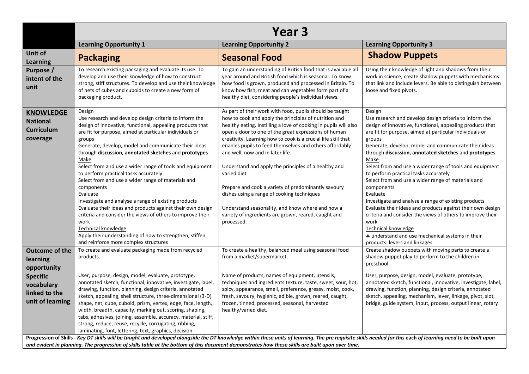|                                                                      | Year <sub>3</sub>                                                                                                                                                                                                                                                                                                                                                                                                                                                                                                                                                                                                                                                                                                                                                                                                                       |                                                                                                                                                                                                                                                                                                                                                                                                                                                                                                                                                                                                                                                                                                                     |                                                                                                                                                                                                                                                                                                                                                                                                                                                                                                                                                                                                                                                                                                                                                                                                                          |  |  |  |  |  |
|----------------------------------------------------------------------|-----------------------------------------------------------------------------------------------------------------------------------------------------------------------------------------------------------------------------------------------------------------------------------------------------------------------------------------------------------------------------------------------------------------------------------------------------------------------------------------------------------------------------------------------------------------------------------------------------------------------------------------------------------------------------------------------------------------------------------------------------------------------------------------------------------------------------------------|---------------------------------------------------------------------------------------------------------------------------------------------------------------------------------------------------------------------------------------------------------------------------------------------------------------------------------------------------------------------------------------------------------------------------------------------------------------------------------------------------------------------------------------------------------------------------------------------------------------------------------------------------------------------------------------------------------------------|--------------------------------------------------------------------------------------------------------------------------------------------------------------------------------------------------------------------------------------------------------------------------------------------------------------------------------------------------------------------------------------------------------------------------------------------------------------------------------------------------------------------------------------------------------------------------------------------------------------------------------------------------------------------------------------------------------------------------------------------------------------------------------------------------------------------------|--|--|--|--|--|
|                                                                      | <b>Learning Opportunity 1</b>                                                                                                                                                                                                                                                                                                                                                                                                                                                                                                                                                                                                                                                                                                                                                                                                           | <b>Learning Opportunity 2</b>                                                                                                                                                                                                                                                                                                                                                                                                                                                                                                                                                                                                                                                                                       | <b>Learning Opportunity 3</b>                                                                                                                                                                                                                                                                                                                                                                                                                                                                                                                                                                                                                                                                                                                                                                                            |  |  |  |  |  |
| Unit of<br><b>Learning</b>                                           | <b>Packaging</b>                                                                                                                                                                                                                                                                                                                                                                                                                                                                                                                                                                                                                                                                                                                                                                                                                        | <b>Seasonal Food</b>                                                                                                                                                                                                                                                                                                                                                                                                                                                                                                                                                                                                                                                                                                | <b>Shadow Puppets</b>                                                                                                                                                                                                                                                                                                                                                                                                                                                                                                                                                                                                                                                                                                                                                                                                    |  |  |  |  |  |
| Purpose /<br>intent of the<br>unit                                   | To research existing packaging and evaluate its use. To<br>develop and use their knowledge of how to construct<br>strong, stiff structures. To develop and use their knowledge<br>of nets of cubes and cuboids to create a new form of<br>packaging product.                                                                                                                                                                                                                                                                                                                                                                                                                                                                                                                                                                            | To gain an understanding of British food that is available all<br>year around and British food which is seasonal. To know<br>how food is grown, produced and processed in Britain. To<br>know how fish, meat and can vegetables form part of a<br>healthy diet, considering people's individual views.                                                                                                                                                                                                                                                                                                                                                                                                              | Using their knowledge of light and shadows from their<br>work in science, create shadow puppets with mechanisms<br>that link and include levers. Be able to distinguish between<br>loose and fixed pivots.                                                                                                                                                                                                                                                                                                                                                                                                                                                                                                                                                                                                               |  |  |  |  |  |
| <b>KNOWLEDGE</b><br><b>National</b><br><b>Curriculum</b><br>coverage | Design<br>Use research and develop design criteria to inform the<br>design of innovative, functional, appealing products that<br>are fit for purpose, aimed at particular individuals or<br>groups<br>Generate, develop, model and communicate their ideas<br>through discussion, annotated sketches and prototypes<br>Make<br>Select from and use a wider range of tools and equipment<br>to perform practical tasks accurately<br>Select from and use a wider range of materials and<br>components<br>Evaluate<br>Investigate and analyse a range of existing products<br>Evaluate their ideas and products against their own design<br>criteria and consider the views of others to improve their<br>work<br>Technical knowledge<br>Apply their understanding of how to strengthen, stiffen<br>and reinforce more complex structures | As part of their work with food, pupils should be taught<br>how to cook and apply the principles of nutrition and<br>healthy eating. Instilling a love of cooking in pupils will also<br>open a door to one of the great expressions of human<br>creativity. Learning how to cook is a crucial life skill that<br>enables pupils to feed themselves and others affordably<br>and well, now and in later life.<br>Understand and apply the principles of a healthy and<br>varied diet<br>Prepare and cook a variety of predominantly savoury<br>dishes using a range of cooking techniques<br>Understand seasonality, and know where and how a<br>variety of ingredients are grown, reared, caught and<br>processed. | Design<br>Use research and develop design criteria to inform the<br>design of innovative, functional, appealing products that<br>are fit for purpose, aimed at particular individuals or<br>groups<br>Generate, develop, model and communicate their ideas<br>through discussion, annotated sketches and prototypes<br>Make<br>Select from and use a wider range of tools and equipment<br>to perform practical tasks accurately<br>Select from and use a wider range of materials and<br>components<br>Evaluate<br>Investigate and analyse a range of existing products<br>Evaluate their ideas and products against their own design<br>criteria and consider the views of others to improve their<br>work<br>Technical knowledge<br>* understand and use mechanical systems in their<br>products: levers and linkages |  |  |  |  |  |
| <b>Outcome of the</b><br>learning<br>opportunity                     | To create and evaluate packaging made from recycled<br>products.                                                                                                                                                                                                                                                                                                                                                                                                                                                                                                                                                                                                                                                                                                                                                                        | To create a healthy, balanced meal using seasonal food<br>from a market/supermarket.                                                                                                                                                                                                                                                                                                                                                                                                                                                                                                                                                                                                                                | Create shadow puppets with moving parts to create a<br>shadow puppet play to perform to the children in<br>preschool.                                                                                                                                                                                                                                                                                                                                                                                                                                                                                                                                                                                                                                                                                                    |  |  |  |  |  |
| <b>Specific</b><br>vocabulary<br>linked to the<br>unit of learning   | User, purpose, design, model, evaluate, prototype,<br>annotated sketch, functional, innovative, investigate, label,<br>drawing, function, planning, design criteria, annotated<br>sketch, appealing, shell structure, three-dimensional (3-D)<br>shape, net, cube, cuboid, prism, vertex, edge, face, length,<br>width, breadth, capacity, marking out, scoring, shaping,<br>tabs, adhesives, joining, assemble, accuracy, material, stiff,<br>strong, reduce, reuse, recycle, corrugating, ribbing,<br>laminating, font, lettering, text, graphics, decision                                                                                                                                                                                                                                                                           | Name of products, names of equipment, utensils,<br>techniques and ingredients texture, taste, sweet, sour, hot,<br>spicy, appearance, smell, preference, greasy, moist, cook,<br>fresh, savoury, hygienic, edible, grown, reared, caught,<br>frozen, tinned, processed, seasonal, harvested<br>healthy/varied diet.                                                                                                                                                                                                                                                                                                                                                                                                 | User, purpose, design, model, evaluate, prototype,<br>annotated sketch, functional, innovative, investigate, label,<br>drawing, function, planning, design criteria, annotated<br>sketch, appealing, mechanism, lever, linkage, pivot, slot,<br>bridge, guide system, input, process, output linear, rotary                                                                                                                                                                                                                                                                                                                                                                                                                                                                                                              |  |  |  |  |  |
|                                                                      | Progression of Skills - Key DT skills will be taught and developed alongside the DT knowledge within these units of learning. The pre requisite skills needed for this each of learning need to be built upon<br>and evident in planning. The progression of skills table at the bottom of this document demonstrates how these skills are built upon over time.                                                                                                                                                                                                                                                                                                                                                                                                                                                                        |                                                                                                                                                                                                                                                                                                                                                                                                                                                                                                                                                                                                                                                                                                                     |                                                                                                                                                                                                                                                                                                                                                                                                                                                                                                                                                                                                                                                                                                                                                                                                                          |  |  |  |  |  |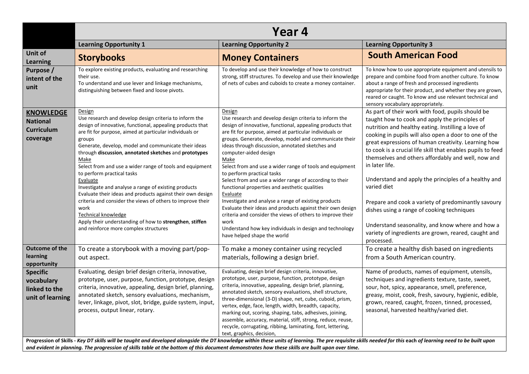|                                                                      | Year 4                                                                                                                                                                                                                                                                                                                                                                                                                                                                                                                                                                                                                                                                                                                                                          |                                                                                                                                                                                                                                                                                                                                                                                                                                                                                                                                                                                                                                                                                                                                                                                                                                                 |                                                                                                                                                                                                                                                                                                                                                                                                                                                                                                                                                                                                                                                                                                                        |  |  |  |  |  |
|----------------------------------------------------------------------|-----------------------------------------------------------------------------------------------------------------------------------------------------------------------------------------------------------------------------------------------------------------------------------------------------------------------------------------------------------------------------------------------------------------------------------------------------------------------------------------------------------------------------------------------------------------------------------------------------------------------------------------------------------------------------------------------------------------------------------------------------------------|-------------------------------------------------------------------------------------------------------------------------------------------------------------------------------------------------------------------------------------------------------------------------------------------------------------------------------------------------------------------------------------------------------------------------------------------------------------------------------------------------------------------------------------------------------------------------------------------------------------------------------------------------------------------------------------------------------------------------------------------------------------------------------------------------------------------------------------------------|------------------------------------------------------------------------------------------------------------------------------------------------------------------------------------------------------------------------------------------------------------------------------------------------------------------------------------------------------------------------------------------------------------------------------------------------------------------------------------------------------------------------------------------------------------------------------------------------------------------------------------------------------------------------------------------------------------------------|--|--|--|--|--|
|                                                                      | <b>Learning Opportunity 1</b>                                                                                                                                                                                                                                                                                                                                                                                                                                                                                                                                                                                                                                                                                                                                   | <b>Learning Opportunity 2</b>                                                                                                                                                                                                                                                                                                                                                                                                                                                                                                                                                                                                                                                                                                                                                                                                                   | <b>Learning Opportunity 3</b>                                                                                                                                                                                                                                                                                                                                                                                                                                                                                                                                                                                                                                                                                          |  |  |  |  |  |
| Unit of<br><b>Learning</b>                                           | <b>Storybooks</b>                                                                                                                                                                                                                                                                                                                                                                                                                                                                                                                                                                                                                                                                                                                                               | <b>Money Containers</b>                                                                                                                                                                                                                                                                                                                                                                                                                                                                                                                                                                                                                                                                                                                                                                                                                         | <b>South American Food</b>                                                                                                                                                                                                                                                                                                                                                                                                                                                                                                                                                                                                                                                                                             |  |  |  |  |  |
| Purpose /<br>intent of the<br>unit                                   | To explore existing products, evaluating and researching<br>their use.<br>To understand and use lever and linkage mechanisms,<br>distinguishing between fixed and loose pivots.                                                                                                                                                                                                                                                                                                                                                                                                                                                                                                                                                                                 | To develop and use their knowledge of how to construct<br>strong, stiff structures. To develop and use their knowledge<br>of nets of cubes and cuboids to create a money container.                                                                                                                                                                                                                                                                                                                                                                                                                                                                                                                                                                                                                                                             | To know how to use appropriate equipment and utensils to<br>prepare and combine food from another culture. To know<br>about a range of fresh and processed ingredients<br>appropriate for their product, and whether they are grown,<br>reared or caught. To know and use relevant technical and<br>sensory vocabulary appropriately.                                                                                                                                                                                                                                                                                                                                                                                  |  |  |  |  |  |
| <b>KNOWLEDGE</b><br><b>National</b><br><b>Curriculum</b><br>coverage | Design<br>Use research and develop design criteria to inform the<br>design of innovative, functional, appealing products that<br>are fit for purpose, aimed at particular individuals or<br>groups<br>Generate, develop, model and communicate their ideas<br>through discussion, annotated sketches and prototypes<br>Make<br>Select from and use a wider range of tools and equipment<br>to perform practical tasks<br>Evaluate<br>Investigate and analyse a range of existing products<br>Evaluate their ideas and products against their own design<br>criteria and consider the views of others to improve their<br>work<br><b>Technical knowledge</b><br>Apply their understanding of how to strengthen, stiffen<br>and reinforce more complex structures | Design<br>Use research and develop design criteria to inform the<br>design of innovative, functional, appealing products that<br>are fit for purpose, aimed at particular individuals or<br>groups. Generate, develop, model and communicate their<br>ideas through discussion, annotated sketches and<br>computer-aided design<br>Make<br>Select from and use a wider range of tools and equipment<br>to perform practical tasks<br>Select from and use a wider range of according to their<br>functional properties and aesthetic qualities<br>Evaluate<br>Investigate and analyse a range of existing products<br>Evaluate their ideas and products against their own design<br>criteria and consider the views of others to improve their<br>work<br>Understand how key individuals in design and technology<br>have helped shape the world | As part of their work with food, pupils should be<br>taught how to cook and apply the principles of<br>nutrition and healthy eating. Instilling a love of<br>cooking in pupils will also open a door to one of the<br>great expressions of human creativity. Learning how<br>to cook is a crucial life skill that enables pupils to feed<br>themselves and others affordably and well, now and<br>in later life.<br>Understand and apply the principles of a healthy and<br>varied diet<br>Prepare and cook a variety of predominantly savoury<br>dishes using a range of cooking techniques<br>Understand seasonality, and know where and how a<br>variety of ingredients are grown, reared, caught and<br>processed. |  |  |  |  |  |
| <b>Outcome of the</b><br>learning<br>opportunity                     | To create a storybook with a moving part/pop-<br>out aspect.                                                                                                                                                                                                                                                                                                                                                                                                                                                                                                                                                                                                                                                                                                    | To make a money container using recycled<br>materials, following a design brief.                                                                                                                                                                                                                                                                                                                                                                                                                                                                                                                                                                                                                                                                                                                                                                | To create a healthy dish based on ingredients<br>from a South American country.                                                                                                                                                                                                                                                                                                                                                                                                                                                                                                                                                                                                                                        |  |  |  |  |  |
| <b>Specific</b><br>vocabulary<br>linked to the<br>unit of learning   | Evaluating, design brief design criteria, innovative,<br>prototype, user, purpose, function, prototype, design<br>criteria, innovative, appealing, design brief, planning,<br>annotated sketch, sensory evaluations, mechanism,<br>lever, linkage, pivot, slot, bridge, guide system, input,<br>process, output linear, rotary.                                                                                                                                                                                                                                                                                                                                                                                                                                 | Evaluating, design brief design criteria, innovative,<br>prototype, user, purpose, function, prototype, design<br>criteria, innovative, appealing, design brief, planning,<br>annotated sketch, sensory evaluations, shell structure,<br>three-dimensional (3-D) shape, net, cube, cuboid, prism,<br>vertex, edge, face, length, width, breadth, capacity,<br>marking out, scoring, shaping, tabs, adhesives, joining,<br>assemble, accuracy, material, stiff, strong, reduce, reuse,<br>recycle, corrugating, ribbing, laminating, font, lettering,<br>text, graphics, decision,                                                                                                                                                                                                                                                               | Name of products, names of equipment, utensils,<br>techniques and ingredients texture, taste, sweet,<br>sour, hot, spicy, appearance, smell, preference,<br>greasy, moist, cook, fresh, savoury, hygienic, edible,<br>grown, reared, caught, frozen, tinned, processed,<br>seasonal, harvested healthy/varied diet.                                                                                                                                                                                                                                                                                                                                                                                                    |  |  |  |  |  |
|                                                                      | and evident in planning. The progression of skills table at the bottom of this document demonstrates how these skills are built upon over time.                                                                                                                                                                                                                                                                                                                                                                                                                                                                                                                                                                                                                 | Progression of Skills - Key DT skills will be taught and developed alongside the DT knowledge within these units of learning. The pre requisite skills needed for this each of learning need to be built upon                                                                                                                                                                                                                                                                                                                                                                                                                                                                                                                                                                                                                                   |                                                                                                                                                                                                                                                                                                                                                                                                                                                                                                                                                                                                                                                                                                                        |  |  |  |  |  |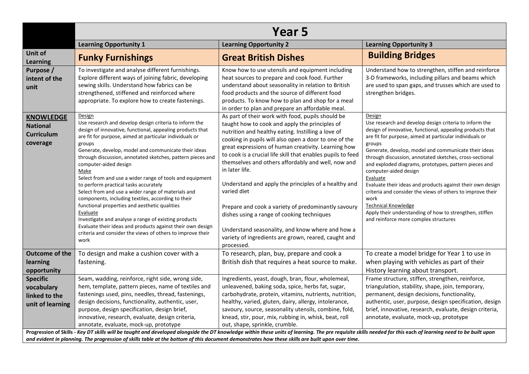|                                                                      | Year 5                                                                                                                                                                                                                                                                                                                                                                                                                                                                                                                                                                                                                                                                                                                                                                                                                              |                                                                                                                                                                                                                                                                                                                                                                                                                                                                                                                                                                                                                                                                                                                        |                                                                                                                                                                                                                                                                                                                                                                                                                                                                                                                                                                                                                                                                                           |  |  |  |  |  |
|----------------------------------------------------------------------|-------------------------------------------------------------------------------------------------------------------------------------------------------------------------------------------------------------------------------------------------------------------------------------------------------------------------------------------------------------------------------------------------------------------------------------------------------------------------------------------------------------------------------------------------------------------------------------------------------------------------------------------------------------------------------------------------------------------------------------------------------------------------------------------------------------------------------------|------------------------------------------------------------------------------------------------------------------------------------------------------------------------------------------------------------------------------------------------------------------------------------------------------------------------------------------------------------------------------------------------------------------------------------------------------------------------------------------------------------------------------------------------------------------------------------------------------------------------------------------------------------------------------------------------------------------------|-------------------------------------------------------------------------------------------------------------------------------------------------------------------------------------------------------------------------------------------------------------------------------------------------------------------------------------------------------------------------------------------------------------------------------------------------------------------------------------------------------------------------------------------------------------------------------------------------------------------------------------------------------------------------------------------|--|--|--|--|--|
|                                                                      | <b>Learning Opportunity 1</b>                                                                                                                                                                                                                                                                                                                                                                                                                                                                                                                                                                                                                                                                                                                                                                                                       | <b>Learning Opportunity 2</b>                                                                                                                                                                                                                                                                                                                                                                                                                                                                                                                                                                                                                                                                                          | <b>Learning Opportunity 3</b>                                                                                                                                                                                                                                                                                                                                                                                                                                                                                                                                                                                                                                                             |  |  |  |  |  |
| Unit of<br><b>Learning</b>                                           | <b>Funky Furnishings</b>                                                                                                                                                                                                                                                                                                                                                                                                                                                                                                                                                                                                                                                                                                                                                                                                            | <b>Great British Dishes</b>                                                                                                                                                                                                                                                                                                                                                                                                                                                                                                                                                                                                                                                                                            | <b>Building Bridges</b>                                                                                                                                                                                                                                                                                                                                                                                                                                                                                                                                                                                                                                                                   |  |  |  |  |  |
| Purpose /<br>intent of the<br>unit                                   | To investigate and analyse different furnishings.<br>Explore different ways of joining fabric, developing<br>sewing skills. Understand how fabrics can be<br>strengthened, stiffened and reinforced where<br>appropriate. To explore how to create fastenings.                                                                                                                                                                                                                                                                                                                                                                                                                                                                                                                                                                      | Know how to use utensils and equipment including<br>heat sources to prepare and cook food. Further<br>understand about seasonality in relation to British<br>food products and the source of different food<br>products. To know how to plan and shop for a meal<br>in order to plan and prepare an affordable meal.                                                                                                                                                                                                                                                                                                                                                                                                   | Understand how to strengthen, stiffen and reinforce<br>3-D frameworks, including pillars and beams which<br>are used to span gaps, and trusses which are used to<br>strengthen bridges.                                                                                                                                                                                                                                                                                                                                                                                                                                                                                                   |  |  |  |  |  |
| <b>KNOWLEDGE</b><br><b>National</b><br><b>Curriculum</b><br>coverage | Design<br>Use research and develop design criteria to inform the<br>design of innovative, functional, appealing products that<br>are fit for purpose, aimed at particular individuals or<br>groups<br>Generate, develop, model and communicate their ideas<br>through discussion, annotated sketches, pattern pieces and<br>computer-aided design<br>Make<br>Select from and use a wider range of tools and equipment<br>to perform practical tasks accurately<br>Select from and use a wider range of materials and<br>components, including textiles, according to their<br>functional properties and aesthetic qualities<br>Evaluate<br>Investigate and analyse a range of existing products<br>Evaluate their ideas and products against their own design<br>criteria and consider the views of others to improve their<br>work | As part of their work with food, pupils should be<br>taught how to cook and apply the principles of<br>nutrition and healthy eating. Instilling a love of<br>cooking in pupils will also open a door to one of the<br>great expressions of human creativity. Learning how<br>to cook is a crucial life skill that enables pupils to feed<br>themselves and others affordably and well, now and<br>in later life.<br>Understand and apply the principles of a healthy and<br>varied diet<br>Prepare and cook a variety of predominantly savoury<br>dishes using a range of cooking techniques<br>Understand seasonality, and know where and how a<br>variety of ingredients are grown, reared, caught and<br>processed. | Design<br>Use research and develop design criteria to inform the<br>design of innovative, functional, appealing products that<br>are fit for purpose, aimed at particular individuals or<br>groups<br>Generate, develop, model and communicate their ideas<br>through discussion, annotated sketches, cross-sectional<br>and exploded diagrams, prototypes, pattern pieces and<br>computer-aided design<br>Evaluate<br>Evaluate their ideas and products against their own design<br>criteria and consider the views of others to improve their<br>work<br><b>Technical Knowledge</b><br>Apply their understanding of how to strengthen, stiffen<br>and reinforce more complex structures |  |  |  |  |  |
| <b>Outcome of the</b><br>learning<br>opportunity                     | To design and make a cushion cover with a<br>fastening.                                                                                                                                                                                                                                                                                                                                                                                                                                                                                                                                                                                                                                                                                                                                                                             | To research, plan, buy, prepare and cook a<br>British dish that requires a heat source to make.                                                                                                                                                                                                                                                                                                                                                                                                                                                                                                                                                                                                                        | To create a model bridge for Year 1 to use in<br>when playing with vehicles as part of their<br>History learning about transport.                                                                                                                                                                                                                                                                                                                                                                                                                                                                                                                                                         |  |  |  |  |  |
| <b>Specific</b><br>vocabulary<br>linked to the<br>unit of learning   | Seam, wadding, reinforce, right side, wrong side,<br>hem, template, pattern pieces, name of textiles and<br>fastenings used, pins, needles, thread, fastenings,<br>design decisions, functionality, authentic, user,<br>purpose, design specification, design brief,<br>innovative, research, evaluate, design criteria,<br>annotate, evaluate, mock-up, prototype                                                                                                                                                                                                                                                                                                                                                                                                                                                                  | Ingredients, yeast, dough, bran, flour, wholemeal,<br>unleavened, baking soda, spice, herbs fat, sugar,<br>carbohydrate, protein, vitamins, nutrients, nutrition,<br>healthy, varied, gluten, dairy, allergy, intolerance,<br>savoury, source, seasonality utensils, combine, fold,<br>knead, stir, pour, mix, rubbing in, whisk, beat, roll<br>out, shape, sprinkle, crumble.                                                                                                                                                                                                                                                                                                                                         | Frame structure, stiffen, strengthen, reinforce,<br>triangulation, stability, shape, join, temporary,<br>permanent, design decisions, functionality,<br>authentic, user, purpose, design specification, design<br>brief, innovative, research, evaluate, design criteria,<br>annotate, evaluate, mock-up, prototype                                                                                                                                                                                                                                                                                                                                                                       |  |  |  |  |  |
|                                                                      | Progression of Skills - Key DT skills will be taught and developed alongside the DT knowledge within these units of learning. The pre requisite skills needed for this each of learning need to be built upon<br>and evident in planning. The progression of skills table at the bottom of this document demonstrates how these skills are built upon over time.                                                                                                                                                                                                                                                                                                                                                                                                                                                                    |                                                                                                                                                                                                                                                                                                                                                                                                                                                                                                                                                                                                                                                                                                                        |                                                                                                                                                                                                                                                                                                                                                                                                                                                                                                                                                                                                                                                                                           |  |  |  |  |  |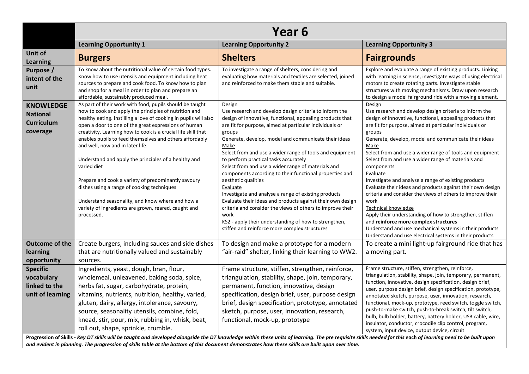|                                                                      | Year <sub>6</sub>                                                                                                                                                                                                                                                                                                                                                                                                                                                                                                                                                                                                                                                                                                   |                                                                                                                                                                                                                                                                                                                                                                                                                                                                                                                                                                                                                                                                                                                                                                                                                                   |                                                                                                                                                                                                                                                                                                                                                                                                                                                                                                                                                                                                                                                                                                                                                                                                  |  |  |  |  |  |
|----------------------------------------------------------------------|---------------------------------------------------------------------------------------------------------------------------------------------------------------------------------------------------------------------------------------------------------------------------------------------------------------------------------------------------------------------------------------------------------------------------------------------------------------------------------------------------------------------------------------------------------------------------------------------------------------------------------------------------------------------------------------------------------------------|-----------------------------------------------------------------------------------------------------------------------------------------------------------------------------------------------------------------------------------------------------------------------------------------------------------------------------------------------------------------------------------------------------------------------------------------------------------------------------------------------------------------------------------------------------------------------------------------------------------------------------------------------------------------------------------------------------------------------------------------------------------------------------------------------------------------------------------|--------------------------------------------------------------------------------------------------------------------------------------------------------------------------------------------------------------------------------------------------------------------------------------------------------------------------------------------------------------------------------------------------------------------------------------------------------------------------------------------------------------------------------------------------------------------------------------------------------------------------------------------------------------------------------------------------------------------------------------------------------------------------------------------------|--|--|--|--|--|
|                                                                      | <b>Learning Opportunity 1</b>                                                                                                                                                                                                                                                                                                                                                                                                                                                                                                                                                                                                                                                                                       | <b>Learning Opportunity 2</b>                                                                                                                                                                                                                                                                                                                                                                                                                                                                                                                                                                                                                                                                                                                                                                                                     | <b>Learning Opportunity 3</b>                                                                                                                                                                                                                                                                                                                                                                                                                                                                                                                                                                                                                                                                                                                                                                    |  |  |  |  |  |
| Unit of<br><b>Learning</b>                                           | <b>Burgers</b>                                                                                                                                                                                                                                                                                                                                                                                                                                                                                                                                                                                                                                                                                                      | <b>Shelters</b>                                                                                                                                                                                                                                                                                                                                                                                                                                                                                                                                                                                                                                                                                                                                                                                                                   | <b>Fairgrounds</b>                                                                                                                                                                                                                                                                                                                                                                                                                                                                                                                                                                                                                                                                                                                                                                               |  |  |  |  |  |
| Purpose /<br>intent of the<br>unit                                   | To know about the nutritional value of certain food types.<br>Know how to use utensils and equipment including heat<br>sources to prepare and cook food. To know how to plan<br>and shop for a meal in order to plan and prepare an<br>affordable, sustainably produced meal.                                                                                                                                                                                                                                                                                                                                                                                                                                       | To investigate a range of shelters, considering and<br>evaluating how materials and textiles are selected, joined<br>and reinforced to make them stable and suitable.                                                                                                                                                                                                                                                                                                                                                                                                                                                                                                                                                                                                                                                             | Explore and evaluate a range of existing products. Linking<br>with learning in science, investigate ways of using electrical<br>motors to create rotating parts. Investigate stable<br>structures with moving mechanisms. Draw upon research<br>to design a model fairground ride with a moving element.                                                                                                                                                                                                                                                                                                                                                                                                                                                                                         |  |  |  |  |  |
| <b>KNOWLEDGE</b><br><b>National</b><br><b>Curriculum</b><br>coverage | As part of their work with food, pupils should be taught<br>how to cook and apply the principles of nutrition and<br>healthy eating. Instilling a love of cooking in pupils will also<br>open a door to one of the great expressions of human<br>creativity. Learning how to cook is a crucial life skill that<br>enables pupils to feed themselves and others affordably<br>and well, now and in later life.<br>Understand and apply the principles of a healthy and<br>varied diet<br>Prepare and cook a variety of predominantly savoury<br>dishes using a range of cooking techniques<br>Understand seasonality, and know where and how a<br>variety of ingredients are grown, reared, caught and<br>processed. | Design<br>Use research and develop design criteria to inform the<br>design of innovative, functional, appealing products that<br>are fit for purpose, aimed at particular individuals or<br>groups<br>Generate, develop, model and communicate their ideas<br>Make<br>Select from and use a wider range of tools and equipment<br>to perform practical tasks accurately<br>Select from and use a wider range of materials and<br>components according to their functional properties and<br>aesthetic qualities<br>Evaluate<br>Investigate and analyse a range of existing products<br>Evaluate their ideas and products against their own design<br>criteria and consider the views of others to improve their<br>work<br>KS2 - apply their understanding of how to strengthen,<br>stiffen and reinforce more complex structures | Design<br>Use research and develop design criteria to inform the<br>design of innovative, functional, appealing products that<br>are fit for purpose, aimed at particular individuals or<br>groups<br>Generate, develop, model and communicate their ideas<br>Make<br>Select from and use a wider range of tools and equipment<br>Select from and use a wider range of materials and<br>components<br>Evaluate<br>Investigate and analyse a range of existing products<br>Evaluate their ideas and products against their own design<br>criteria and consider the views of others to improve their<br>work<br>Technical knowledge<br>Apply their understanding of how to strengthen, stiffen<br>and reinforce more complex structures<br>Understand and use mechanical systems in their products |  |  |  |  |  |
| <b>Outcome of the</b><br>learning<br>opportunity                     | Create burgers, including sauces and side dishes<br>that are nutritionally valued and sustainably<br>sources.                                                                                                                                                                                                                                                                                                                                                                                                                                                                                                                                                                                                       | To design and make a prototype for a modern<br>"air-raid" shelter, linking their learning to WW2.                                                                                                                                                                                                                                                                                                                                                                                                                                                                                                                                                                                                                                                                                                                                 | Understand and use electrical systems in their products<br>To create a mini light-up fairground ride that has<br>a moving part.                                                                                                                                                                                                                                                                                                                                                                                                                                                                                                                                                                                                                                                                  |  |  |  |  |  |
| <b>Specific</b><br>vocabulary<br>linked to the<br>unit of learning   | Ingredients, yeast, dough, bran, flour,<br>wholemeal, unleavened, baking soda, spice,<br>herbs fat, sugar, carbohydrate, protein,<br>vitamins, nutrients, nutrition, healthy, varied,<br>gluten, dairy, allergy, intolerance, savoury,<br>source, seasonality utensils, combine, fold,<br>knead, stir, pour, mix, rubbing in, whisk, beat,<br>roll out, shape, sprinkle, crumble.                                                                                                                                                                                                                                                                                                                                   | Frame structure, stiffen, strengthen, reinforce,<br>triangulation, stability, shape, join, temporary,<br>permanent, function, innovative, design<br>specification, design brief, user, purpose design<br>brief, design specification, prototype, annotated<br>sketch, purpose, user, innovation, research,<br>functional, mock-up, prototype                                                                                                                                                                                                                                                                                                                                                                                                                                                                                      | Frame structure, stiffen, strengthen, reinforce,<br>triangulation, stability, shape, join, temporary, permanent,<br>function, innovative, design specification, design brief,<br>user, purpose design brief, design specification, prototype,<br>annotated sketch, purpose, user, innovation, research,<br>functional, mock-up, prototype, reed switch, toggle switch,<br>push-to-make switch, push-to-break switch, tilt switch,<br>bulb, bulb holder, battery, battery holder, USB cable, wire,<br>insulator, conductor, crocodile clip control, program,<br>system, input device, output device, circuit                                                                                                                                                                                      |  |  |  |  |  |
|                                                                      | and evident in planning. The progression of skills table at the bottom of this document demonstrates how these skills are built upon over time.                                                                                                                                                                                                                                                                                                                                                                                                                                                                                                                                                                     | Progression of Skills - Key DT skills will be taught and developed alongside the DT knowledge within these units of learning. The pre requisite skills needed for this each of learning need to be built upon                                                                                                                                                                                                                                                                                                                                                                                                                                                                                                                                                                                                                     |                                                                                                                                                                                                                                                                                                                                                                                                                                                                                                                                                                                                                                                                                                                                                                                                  |  |  |  |  |  |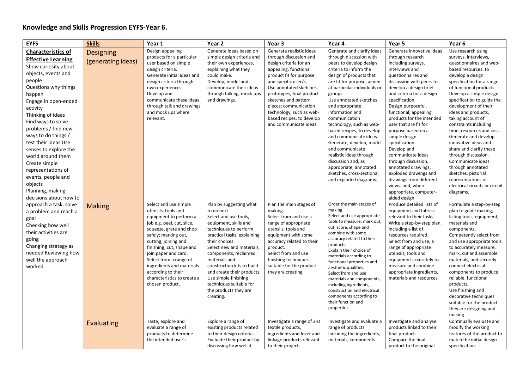## Knowledge and Skills Progression EYFS-Year 6.

| <b>EYFS</b>               | <b>Skills</b>      | Year 1                                         | Year 2                                 | Year 3                                      | Year 4                                               | Year 5                                         | Year 6                                            |
|---------------------------|--------------------|------------------------------------------------|----------------------------------------|---------------------------------------------|------------------------------------------------------|------------------------------------------------|---------------------------------------------------|
| <b>Characteristics of</b> | <b>Designing</b>   | Design appealing                               | Generate ideas based on                | Generate realistic ideas                    | Generate and clarify ideas                           | Generate innovative ideas                      | Use research using                                |
| <b>Effective Learning</b> |                    | products for a particular                      | simple design criteria and             | through discussion and                      | through discussion with                              | through research                               | surveys, interviews,                              |
| Show curiosity about      | (generating ideas) | user based on simple                           | their own experiences,                 | design criteria for an                      | peers to develop design                              | including surveys,                             | questionnaires and web-                           |
|                           |                    | design criteria.                               | explaining what they                   | appealing, functional                       | criteria to inform the                               | interviews and                                 | based resources. to                               |
| objects, events and       |                    | Generate initial ideas and                     | could make.                            | product fit for purpose                     | design of products that                              | questionnaires and                             | develop a design                                  |
| people                    |                    | design criteria through                        | Develop, model and                     | and specific user/s.                        | are fit for purpose, aimed                           | discussion with peers to                       | specification for a range                         |
| Questions why things      |                    | own experiences.                               | communicate their ideas                | Use annotated sketches,                     | at particular individuals or                         | develop a design brief                         | of functional products.                           |
| happen                    |                    | Develop and                                    | through talking, mock-ups              | prototypes, final product                   | groups.                                              | and criteria for a design                      | Develop a simple design                           |
| Engage in open-ended      |                    | communicate these ideas                        | and drawings.                          | sketches and pattern                        | Use annotated sketches                               | specification.                                 | specification to guide the                        |
| activity                  |                    | through talk and drawings                      |                                        | pieces; communication                       | and appropriate                                      | Design purposeful,                             | development of their                              |
| Thinking of ideas         |                    | and mock ups where                             |                                        | technology, such as web-                    | information and                                      | functional, appealing                          | ideas and products,                               |
| Find ways to solve        |                    | relevant.                                      |                                        | based recipes, to develop                   | communication                                        | products for the intended                      | taking account of                                 |
| problems / find new       |                    |                                                |                                        | and communicate ideas.                      | technology, such as web-                             | user that are fit for                          | constraints including                             |
| ways to do things /       |                    |                                                |                                        |                                             | based recipes, to develop                            | purpose based on a                             | time, resources and cost.                         |
| test their ideas Use      |                    |                                                |                                        |                                             | and communicate ideas.<br>Generate, develop, model   | simple design<br>specification.                | Generate and develop<br>innovative ideas and      |
|                           |                    |                                                |                                        |                                             | and communicate                                      | Develop and                                    | share and clarify these                           |
| senses to explore the     |                    |                                                |                                        |                                             | realistic ideas through                              | communicate ideas                              | through discussion.                               |
| world around them         |                    |                                                |                                        |                                             | discussion and, as                                   | through discussion,                            | Communicate ideas                                 |
| Create simple             |                    |                                                |                                        |                                             | appropriate, annotated                               | annotated drawings,                            | through annotated                                 |
| representations of        |                    |                                                |                                        |                                             | sketches, cross-sectional                            | exploded drawings and                          | sketches, pictorial                               |
| events, people and        |                    |                                                |                                        |                                             | and exploded diagrams.                               | drawings from different                        | representations of                                |
| objects                   |                    |                                                |                                        |                                             |                                                      | views. and, where                              | electrical circuits or circuit                    |
| Planning, making          |                    |                                                |                                        |                                             |                                                      | appropriate, computer-                         | diagrams.                                         |
| decisions about how to    |                    |                                                |                                        |                                             |                                                      | aided design                                   |                                                   |
| approach a task, solve    | <b>Making</b>      | Select and use simple                          | Plan by suggesting what                | Plan the main stages of                     | Order the main stages of                             | Produce detailed lists of                      | Formulate a step-by-step                          |
| a problem and reach a     |                    | utensils, tools and                            | to do next.                            | making.                                     | making.                                              | equipment and fabrics                          | plan to guide making,                             |
| goal                      |                    | equipment to perform a                         | Select and use tools,                  | Select from and use a                       | Select and use appropriate                           | relevant to their tasks                        | listing tools, equipment,                         |
| Checking how well         |                    | job e.g. peel, cut, slice,                     | equipment, skills and                  | range of appropriate                        | tools to measure, mark out,<br>cut, score, shape and | Write a step-by-step plan,                     | materials and                                     |
| their activities are      |                    | squeeze, grate and chop                        | techniques to perform                  | utensils, tools and                         | combine with some                                    | including a list of                            | components.                                       |
| going                     |                    | safely; marking out,                           | practical tasks, explaining            | equipment with some                         | accuracy related to their                            | resources required.                            | Competently select from                           |
| Changing strategy as      |                    | cutting, joining and                           | their choices.                         | accuracy related to their                   | products.                                            | Select from and use, a                         | and use appropriate tools                         |
| needed Reviewing how      |                    | finishing; cut, shape and                      | Select new and materials,              | product.                                    | Explain their choice of                              | range of appropriate                           | to accurately measure,                            |
|                           |                    | join paper and card.<br>Select from a range of | components, reclaimed<br>materials and | Select from and use<br>finishing techniques | materials according to                               | utensils, tools and                            | mark, cut and assemble<br>materials, and securely |
| well the approach         |                    | ingredients and materials                      | construction kits to build             | suitable for the product                    | functional properties and                            | equipment accurately to<br>measure and combine | connect electrical                                |
| worked                    |                    | according to their                             | and create their products.             | they are creating                           | aesthetic qualities.                                 | appropriate ingredients,                       | components to produce                             |
|                           |                    | characteristics to create a                    | Use simple finishing                   |                                             | Select from and use                                  | materials and resources.                       | reliable, functional                              |
|                           |                    | chosen product.                                | techniques suitable for                |                                             | materials and components,<br>including ingredients,  |                                                | products.                                         |
|                           |                    |                                                | the products they are                  |                                             | construction and electrical                          |                                                | Use finishing and                                 |
|                           |                    |                                                | creating.                              |                                             | components according to                              |                                                | decorative techniques                             |
|                           |                    |                                                |                                        |                                             | their function and                                   |                                                | suitable for the product                          |
|                           |                    |                                                |                                        |                                             | properties.                                          |                                                | they are designing and                            |
|                           |                    |                                                |                                        |                                             |                                                      |                                                | making                                            |
|                           | Evaluating         | Taste, explore and                             | Explore a range of                     | Investigate a range of 3-D                  | Investigate and evaluate a                           | Investigate and analyse                        | Continually evaluate and                          |
|                           |                    | evaluate a range of                            | existing products related              | textile products,                           | range of products                                    | products linked to their                       | modify the working                                |
|                           |                    | products to determine                          | to their design criteria.              | ingredients and lever and                   | including the ingredients,                           | final product.                                 | features of the product to                        |
|                           |                    | the intended user's                            | Evaluate their product by              | linkage products relevant                   | materials, components                                | Compare the final                              | match the initial design                          |
|                           |                    |                                                | discussing how well it                 | to their project.                           |                                                      | product to the original                        | specification.                                    |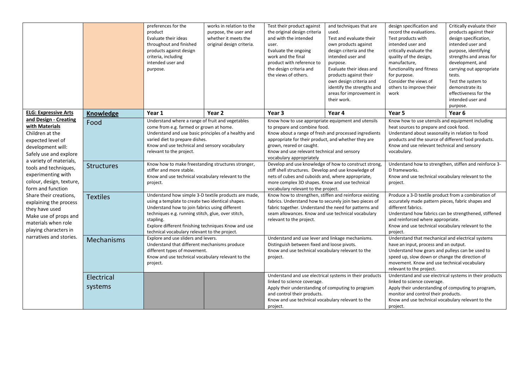|                                                                                                                                                                        |                       | preferences for the<br>product<br>Evaluate their ideas<br>throughout and finished<br>products against design<br>criteria, including<br>intended user and<br>purpose.                                                                                                                                                                  | works in relation to the<br>purpose, the user and<br>whether it meets the<br>original design criteria. | Test their product against<br>the original design criteria<br>and with the intended<br>user.<br>Evaluate the ongoing<br>work and the final<br>product with reference to<br>the design criteria and<br>the views of others.                                                                                | and techniques that are<br>used.<br>Test and evaluate their<br>own products against<br>design criteria and the<br>intended user and<br>purpose.<br>Evaluate their ideas and<br>products against their<br>own design criteria and<br>identify the strengths and<br>areas for improvement in<br>their work. | design specification and<br>record the evaluations.<br>Test products with<br>intended user and<br>critically evaluate the<br>quality of the design,<br>manufacture,<br>functionality and fitness<br>for purpose.<br>Consider the views of<br>others to improve their<br>work                  | Critically evaluate their<br>products against their<br>design specification,<br>intended user and<br>purpose, identifying<br>strengths and areas for<br>development, and<br>carrying out appropriate<br>tests.<br>Test the system to<br>demonstrate its<br>effectiveness for the<br>intended user and<br>purpose. |
|------------------------------------------------------------------------------------------------------------------------------------------------------------------------|-----------------------|---------------------------------------------------------------------------------------------------------------------------------------------------------------------------------------------------------------------------------------------------------------------------------------------------------------------------------------|--------------------------------------------------------------------------------------------------------|-----------------------------------------------------------------------------------------------------------------------------------------------------------------------------------------------------------------------------------------------------------------------------------------------------------|-----------------------------------------------------------------------------------------------------------------------------------------------------------------------------------------------------------------------------------------------------------------------------------------------------------|-----------------------------------------------------------------------------------------------------------------------------------------------------------------------------------------------------------------------------------------------------------------------------------------------|-------------------------------------------------------------------------------------------------------------------------------------------------------------------------------------------------------------------------------------------------------------------------------------------------------------------|
| <b>ELG: Expressive Arts</b>                                                                                                                                            | <b>Knowledge</b>      | Year 1                                                                                                                                                                                                                                                                                                                                | Year 2                                                                                                 | Year 3                                                                                                                                                                                                                                                                                                    | Year 4                                                                                                                                                                                                                                                                                                    | Year 5                                                                                                                                                                                                                                                                                        | Year <sub>6</sub>                                                                                                                                                                                                                                                                                                 |
| and Design - Creating<br>with Materials<br>Children at the<br>expected level of<br>development will:<br>Safely use and explore                                         | Food                  | Understand where a range of fruit and vegetables<br>come from e.g. farmed or grown at home.<br>Understand and use basic principles of a healthy and<br>varied diet to prepare dishes.<br>Know and use technical and sensory vocabulary<br>relevant to the project.                                                                    |                                                                                                        | Know how to use appropriate equipment and utensils<br>to prepare and combine food.<br>Know about a range of fresh and processed ingredients<br>appropriate for their product, and whether they are<br>grown, reared or caught.<br>Know and use relevant technical and sensory<br>vocabulary appropriately |                                                                                                                                                                                                                                                                                                           | Know how to use utensils and equipment including<br>heat sources to prepare and cook food.<br>Understand about seasonality in relation to food<br>products and the source of different food products.<br>Know and use relevant technical and sensory<br>vocabulary.                           |                                                                                                                                                                                                                                                                                                                   |
| a variety of materials,<br>tools and techniques,<br>experimenting with<br>colour, design, texture,<br>form and function                                                | <b>Structures</b>     | Know how to make freestanding structures stronger,<br>stiffer and more stable.<br>Know and use technical vocabulary relevant to the<br>project.                                                                                                                                                                                       |                                                                                                        | Develop and use knowledge of how to construct strong,<br>stiff shell structures. Develop and use knowledge of<br>nets of cubes and cuboids and, where appropriate,<br>more complex 3D shapes. Know and use technical<br>vocabulary relevant to the project.                                               |                                                                                                                                                                                                                                                                                                           | Understand how to strengthen, stiffen and reinforce 3-<br>D frameworks.<br>Know and use technical vocabulary relevant to the<br>project.                                                                                                                                                      |                                                                                                                                                                                                                                                                                                                   |
| Share their creations,<br>explaining the process<br>they have used<br>Make use of props and<br>materials when role<br>playing characters in<br>narratives and stories. | <b>Textiles</b>       | Understand how simple 3-D textile products are made,<br>using a template to create two identical shapes.<br>Understand how to join fabrics using different<br>techniques e.g. running stitch, glue, over stitch,<br>stapling.<br>Explore different finishing techniques Know and use<br>technical vocabulary relevant to the project. |                                                                                                        | Know how to strengthen, stiffen and reinforce existing<br>fabrics. Understand how to securely join two pieces of<br>fabric together. Understand the need for patterns and<br>seam allowances. Know and use technical vocabulary<br>relevant to the project.                                               |                                                                                                                                                                                                                                                                                                           | Produce a 3-D textile product from a combination of<br>accurately made pattern pieces, fabric shapes and<br>different fabrics.<br>Understand how fabrics can be strengthened, stiffened<br>and reinforced where appropriate.<br>Know and use technical vocabulary relevant to the<br>project. |                                                                                                                                                                                                                                                                                                                   |
|                                                                                                                                                                        | Mechanisms            | Explore and use sliders and levers.<br>Understand that different mechanisms produce<br>different types of movement.<br>Know and use technical vocabulary relevant to the<br>project.                                                                                                                                                  |                                                                                                        | Understand and use lever and linkage mechanisms.<br>Distinguish between fixed and loose pivots.<br>Know and use technical vocabulary relevant to the<br>project.                                                                                                                                          |                                                                                                                                                                                                                                                                                                           | Understand that mechanical and electrical systems<br>have an input, process and an output.<br>Understand how gears and pulleys can be used to<br>speed up, slow down or change the direction of<br>movement. Know and use technical vocabulary<br>relevant to the project.                    |                                                                                                                                                                                                                                                                                                                   |
|                                                                                                                                                                        | Electrical<br>systems |                                                                                                                                                                                                                                                                                                                                       |                                                                                                        | linked to science coverage.<br>Apply their understanding of computing to program<br>and control their products.<br>Know and use technical vocabulary relevant to the<br>project.                                                                                                                          | Understand and use electrical systems in their products                                                                                                                                                                                                                                                   | linked to science coverage.<br>Apply their understanding of computing to program,<br>monitor and control their products.<br>Know and use technical vocabulary relevant to the<br>project.                                                                                                     | Understand and use electrical systems in their products                                                                                                                                                                                                                                                           |